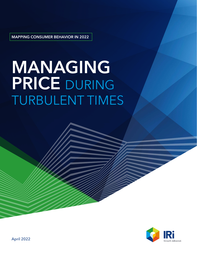MAPPING CONSUMER BEHAVIOR IN 2022

# MANAGING PRICE DURING TURBULENT TIMES



April 2022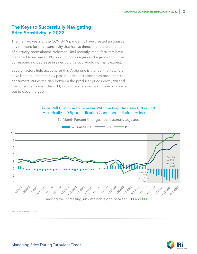# The Keys to Successfully Navigating Price Sensitivity in 2022

The first two years of the COVID-19 pandemic have created an unusual environment for price sensitivity that has, at times, made the concept of elasticity seem almost irrelevant. Until recently, manufacturers have managed to increase CPG product prices again and again without the corresponding decrease in sales volume you would normally expect.

Several factors help account for this. A big one is the fact that retailers have been reluctant to fully pass on price increases from producers to consumers. But as the gap between the producer price index (PPI) and the consumer price index (CPI) grows, retailers will soon have no choice but to close the gap.

#### Price Will Continue to Increase With the Gap Between CPI vs. PPI (Historically ~-0.5ppt) Indicating Continued Inflationary Increases



12-Month Percent Change, not seasonally adjusted

*Source: https://www.bls.gov/* 

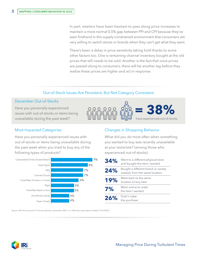In part, retailers have been hesitant to pass along price increases to maintain a more normal 0.5% gap between PPI and CPI because they've seen firsthand in this supply-constrained environment that consumers are very willing to switch stores or brands when they can't get what they want.

There's been a delay in price sensitivity taking hold thanks to some other factors too. One is remaining channel inventory bought at the old prices that still needs to be sold. Another is the fact that once prices are passed along to consumers, there will be another lag before they realize these prices are higher and act in response.

#### Out-of-Stock Issues Are Persistent, But Not Category Consistent

#### December Out-of-Stocks

Have you personally experienced issues with out-of-stocks or items being unavailable during the past week?



#### Most Impacted Categories

Have you personally experienced issues with out-of-stocks or items being unavailable during the past week when you tried to buy any of the following types of products?



## Changes in Shopping Behavior

What did you do most often when something you wanted to buy was recently unavailable at your store/site? (among those who experienced out-of-stocks)

| 34% | Went to a different physical store<br>and bought the item I wanted     |
|-----|------------------------------------------------------------------------|
| 24% | Bought a different brand or variety<br>instead, from the same location |
| 19% | Went back to the same<br>location to buy later                         |
| 7%  | Went online to order<br>the item I wanted                              |
| 26% | Didn't make<br>the purchase                                            |

*Source: IRI OmniConsumer™ Survey Solutions, December 2021, n=1,069 total respondents, fielded 12/3-8/2021* 

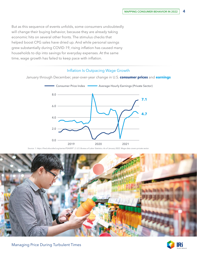But as this sequence of events unfolds, some consumers undoubtedly will change their buying behavior, because they are already taking economic hits on several other fronts. The stimulus checks that helped boost CPG sales have dried up. And while personal savings grew substantially during COVID-19, rising inflation has caused many households to dip into savings for everyday expenses. At the same time, wage growth has failed to keep pace with inflation.

### Inflation Is Outpacing Wage Growth

January through December, year-over-year change in U.S. **consumer prices** and **earnings**



*Source: 1. https://fred.stlouisfed.org/series/PSAVERT 2. U.S. Bureau of Labor Statistics. As of January 2022. Wage data covers private sector.* 



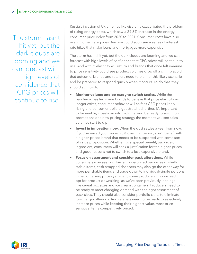The storm hasn't hit yet, but the dark clouds are looming and we can forecast with high levels of confidence that CPG prices will continue to rise.

Russia's invasion of Ukraine has likewise only exacerbated the problem of rising energy costs, which saw a 29.3% increase in the energy consumer price index from 2020 to 2021. Consumer costs have also risen in other categories. And we could soon see a series of interest rate hikes that make loans and mortgages more expensive.

The storm hasn't hit yet, but the dark clouds are looming and we can forecast with high levels of confidence that CPG prices will continue to rise. And with it, elasticity will return and brands that once felt immune to price sensitivity could see product volumes drop off a cliff. To avoid that outcome, brands and retailers need to plan for this likely scenario and be prepared to respond quickly when it occurs. To do that, they should act now to:

- **• Monitor volume and be ready to switch tactics.** While the pandemic has led some brands to believe that price elasticity no longer exists, consumer behavior will shift as CPG prices keep rising and consumer dollars get stretched further. It's important to be nimble, closely monitor volume, and be ready to switch on promotions or a new pricing strategy the moment you see sales volumes start to dip.
- **Invest in innovation now.** When the dust settles a year from now, if you've raised your prices 20% over that period, you'll be left with a higher-priced brand that needs to be supported with some sort of value proposition. Whether it's a special benefit, package or ingredient, consumers will seek a justification for the higher prices and good reasons not to switch to a less-expensive brand.
- **• Focus on assortment and consider pack alterations.** While consumers may seek out larger value-priced packages of shelfstable items, cash-strapped shoppers may also go the other way for more perishable items and trade down to individual/single portions. In lieu of raising prices yet again, some producers may instead opt for product downsizing, as we've seen previously in things like cereal box sizes and ice cream containers. Producers need to be ready to meet changing demand with the right assortment of pack sizes. They should also consider portfolio shifts to eliminate low-margin offerings. And retailers need to be ready to selectively increase prices while keeping their highest-value, most-pricesensitive items competitively priced.

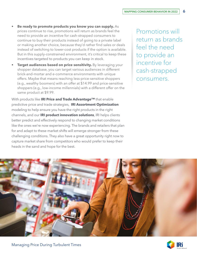- **• Be ready to promote products you know you can supply.** As prices continue to rise, promotions will return as brands feel the need to provide an incentive for cash-strapped consumers to continue to buy their products instead of going to a private label or making another choice, because they'd rather find sales or deals instead of switching to lower-cost products if the option is available. But in this supply-constrained environment, it's critical to keep these incentives targeted to products you can keep in stock.
- **Target audiences based on price sensitivity.** By leveraging your shopper database, you can target various audiences in different brick-and-mortar and e-commerce environments with unique offers. Maybe that means reaching less-price-sensitive shoppers (e.g., wealthy boomers) with an offer at \$14.99 and price-sensitive shoppers (e.g., low-income millennials) with a different offer on the same product at \$9.99.

With products like **[IRI Price and Trade Advantage™](https://www.iriworldwide.com/en-us/solutions/iri-price-trade-advantage%E2%84%A2)** that enable predictive price and trade strategies, **[IRI Assortment Optimization](https://www.iriworldwide.com/en-us/solutions/iri-assortment-optimization)** modeling to help ensure you have the right products in the right channels, and our **[IRI product innovation solutions](https://www.iriworldwide.com/en-us/solutions/market-performance-and-strategy/innovation)**, IRI helps clients better predict and effectively respond to changing market conditions like the ones we're now experiencing. The brands and retailers that plan for and adapt to these market shifts will emerge stronger from these challenging conditions. They also have a great opportunity right now to capture market share from competitors who would prefer to keep their heads in the sand and hope for the best.

Promotions will return as brands feel the need to provide an incentive for cash-strapped consumers.